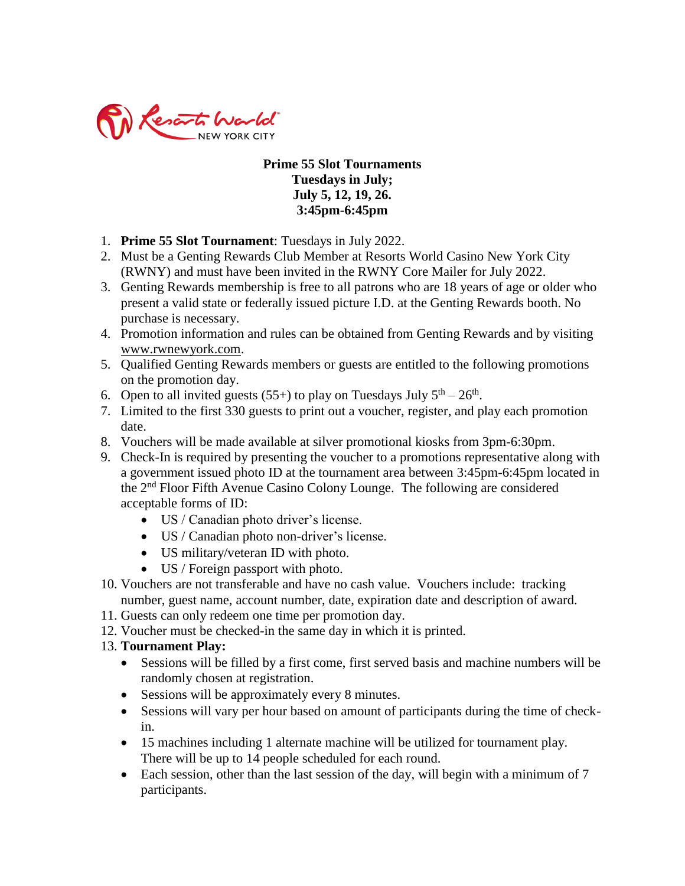

## **Prime 55 Slot Tournaments Tuesdays in July; July 5, 12, 19, 26. 3:45pm-6:45pm**

- 1. **Prime 55 Slot Tournament**: Tuesdays in July 2022.
- 2. Must be a Genting Rewards Club Member at Resorts World Casino New York City (RWNY) and must have been invited in the RWNY Core Mailer for July 2022.
- 3. Genting Rewards membership is free to all patrons who are 18 years of age or older who present a valid state or federally issued picture I.D. at the Genting Rewards booth. No purchase is necessary.
- 4. Promotion information and rules can be obtained from Genting Rewards and by visiting [www.rwnewyork.com.](http://www.rwnewyork.com/)
- 5. Qualified Genting Rewards members or guests are entitled to the following promotions on the promotion day.
- 6. Open to all invited guests (55+) to play on Tuesdays July  $5<sup>th</sup> 26<sup>th</sup>$ .
- 7. Limited to the first 330 guests to print out a voucher, register, and play each promotion date.
- 8. Vouchers will be made available at silver promotional kiosks from 3pm-6:30pm.
- 9. Check-In is required by presenting the voucher to a promotions representative along with a government issued photo ID at the tournament area between 3:45pm-6:45pm located in the 2<sup>nd</sup> Floor Fifth Avenue Casino Colony Lounge. The following are considered acceptable forms of ID:
	- US / Canadian photo driver's license.
	- US / Canadian photo non-driver's license.
	- US military/veteran ID with photo.
	- US / Foreign passport with photo.
- 10. Vouchers are not transferable and have no cash value. Vouchers include: tracking number, guest name, account number, date, expiration date and description of award.
- 11. Guests can only redeem one time per promotion day.
- 12. Voucher must be checked-in the same day in which it is printed.

## 13. **Tournament Play:**

- Sessions will be filled by a first come, first served basis and machine numbers will be randomly chosen at registration.
- Sessions will be approximately every 8 minutes.
- Sessions will vary per hour based on amount of participants during the time of checkin.
- 15 machines including 1 alternate machine will be utilized for tournament play. There will be up to 14 people scheduled for each round.
- Each session, other than the last session of the day, will begin with a minimum of 7 participants.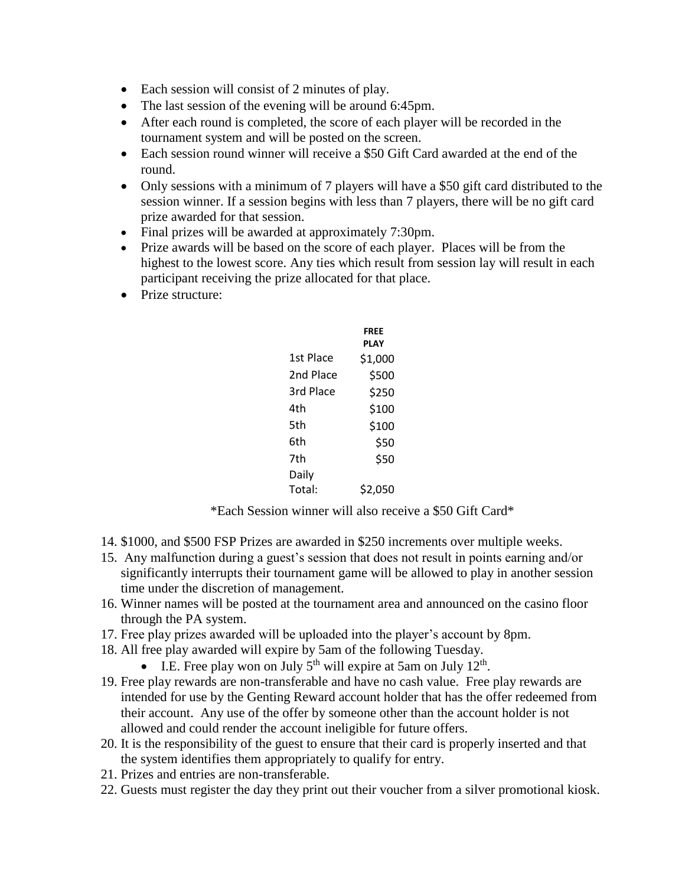- Each session will consist of 2 minutes of play.
- The last session of the evening will be around 6:45pm.
- After each round is completed, the score of each player will be recorded in the tournament system and will be posted on the screen.
- Each session round winner will receive a \$50 Gift Card awarded at the end of the round.
- Only sessions with a minimum of 7 players will have a \$50 gift card distributed to the session winner. If a session begins with less than 7 players, there will be no gift card prize awarded for that session.
- Final prizes will be awarded at approximately 7:30pm.
- Prize awards will be based on the score of each player. Places will be from the highest to the lowest score. Any ties which result from session lay will result in each participant receiving the prize allocated for that place.
- Prize structure:

|           | FREE<br>PLAY |
|-----------|--------------|
| 1st Place | \$1,000      |
| 2nd Place | \$500        |
| 3rd Place | \$250        |
| 4th       | \$100        |
| 5th       | \$100        |
| 6th       | \$50         |
| 7th       | \$50         |
| Daily     |              |
| Total:    | \$2,050      |

\*Each Session winner will also receive a \$50 Gift Card\*

- 14. \$1000, and \$500 FSP Prizes are awarded in \$250 increments over multiple weeks.
- 15. Any malfunction during a guest's session that does not result in points earning and/or significantly interrupts their tournament game will be allowed to play in another session time under the discretion of management.
- 16. Winner names will be posted at the tournament area and announced on the casino floor through the PA system.
- 17. Free play prizes awarded will be uploaded into the player's account by 8pm.
- 18. All free play awarded will expire by 5am of the following Tuesday.
	- I.E. Free play won on July  $5<sup>th</sup>$  will expire at 5am on July 12<sup>th</sup>.
- 19. Free play rewards are non-transferable and have no cash value. Free play rewards are intended for use by the Genting Reward account holder that has the offer redeemed from their account. Any use of the offer by someone other than the account holder is not allowed and could render the account ineligible for future offers.
- 20. It is the responsibility of the guest to ensure that their card is properly inserted and that the system identifies them appropriately to qualify for entry.
- 21. Prizes and entries are non-transferable.
- 22. Guests must register the day they print out their voucher from a silver promotional kiosk.